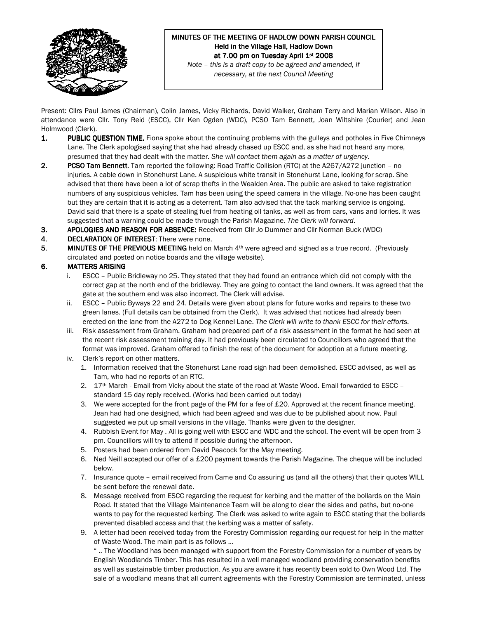

### MINUTES OF THE MEETING OF HADLOW DOWN PARISH COUNCIL Held in the Village Hall, Hadlow Down at 7.00 pm on Tuesday April 1st 2008 Note – this is a draft copy to be agreed and amended, if

necessary, at the next Council Meeting

Present: Cllrs Paul James (Chairman), Colin James, Vicky Richards, David Walker, Graham Terry and Marian Wilson. Also in attendance were Cllr. Tony Reid (ESCC), Cllr Ken Ogden (WDC), PCSO Tam Bennett, Joan Wiltshire (Courier) and Jean Holmwood (Clerk).

- 1. PUBLIC QUESTION TIME. Fiona spoke about the continuing problems with the gulleys and potholes in Five Chimneys Lane. The Clerk apologised saying that she had already chased up ESCC and, as she had not heard any more, presumed that they had dealt with the matter. She will contact them again as a matter of urgency.
- 2. PCSO Tam Bennett. Tam reported the following: Road Traffic Collision (RTC) at the A267/A272 junction no injuries. A cable down in Stonehurst Lane. A suspicious white transit in Stonehurst Lane, looking for scrap. She advised that there have been a lot of scrap thefts in the Wealden Area. The public are asked to take registration numbers of any suspicious vehicles. Tam has been using the speed camera in the village. No-one has been caught but they are certain that it is acting as a deterrent. Tam also advised that the tack marking service is ongoing. David said that there is a spate of stealing fuel from heating oil tanks, as well as from cars, vans and lorries. It was suggested that a warning could be made through the Parish Magazine. The Clerk will forward.
- 3. APOLOGIES AND REASON FOR ABSENCE: Received from Cllr Jo Dummer and Cllr Norman Buck (WDC)
- 4. DECLARATION OF INTEREST: There were none.
- 5. MINUTES OF THE PREVIOUS MEETING held on March  $4<sup>th</sup>$  were agreed and signed as a true record. (Previously circulated and posted on notice boards and the village website).

## 6. MATTERS ARISING

- i. ESCC Public Bridleway no 25. They stated that they had found an entrance which did not comply with the correct gap at the north end of the bridleway. They are going to contact the land owners. It was agreed that the gate at the southern end was also incorrect. The Clerk will advise.
- ii. ESCC Public Byways 22 and 24. Details were given about plans for future works and repairs to these two green lanes. (Full details can be obtained from the Clerk). It was advised that notices had already been erected on the lane from the A272 to Dog Kennel Lane. The Clerk will write to thank ESCC for their efforts.
- iii. Risk assessment from Graham. Graham had prepared part of a risk assessment in the format he had seen at the recent risk assessment training day. It had previously been circulated to Councillors who agreed that the format was improved. Graham offered to finish the rest of the document for adoption at a future meeting.
- iv. Clerk's report on other matters.
	- 1. Information received that the Stonehurst Lane road sign had been demolished. ESCC advised, as well as Tam, who had no reports of an RTC.
	- 2. 17th March Email from Vicky about the state of the road at Waste Wood. Email forwarded to ESCC standard 15 day reply received. (Works had been carried out today)
	- 3. We were accepted for the front page of the PM for a fee of £20. Approved at the recent finance meeting. Jean had had one designed, which had been agreed and was due to be published about now. Paul suggested we put up small versions in the village. Thanks were given to the designer.
	- 4. Rubbish Event for May . All is going well with ESCC and WDC and the school. The event will be open from 3 pm. Councillors will try to attend if possible during the afternoon.
	- 5. Posters had been ordered from David Peacock for the May meeting.
	- 6. Ned Neill accepted our offer of a £200 payment towards the Parish Magazine. The cheque will be included below.
	- 7. Insurance quote email received from Came and Co assuring us (and all the others) that their quotes WILL be sent before the renewal date.
	- 8. Message received from ESCC regarding the request for kerbing and the matter of the bollards on the Main Road. It stated that the Village Maintenance Team will be along to clear the sides and paths, but no-one wants to pay for the requested kerbing. The Clerk was asked to write again to ESCC stating that the bollards prevented disabled access and that the kerbing was a matter of safety.
	- 9. A letter had been received today from the Forestry Commission regarding our request for help in the matter of Waste Wood. The main part is as follows …

" .. The Woodland has been managed with support from the Forestry Commission for a number of years by English Woodlands Timber. This has resulted in a well managed woodland providing conservation benefits as well as sustainable timber production. As you are aware it has recently been sold to Own Wood Ltd. The sale of a woodland means that all current agreements with the Forestry Commission are terminated, unless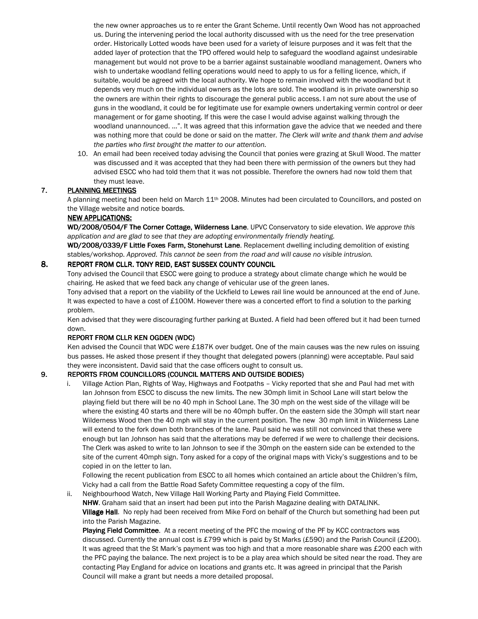the new owner approaches us to re enter the Grant Scheme. Until recently Own Wood has not approached us. During the intervening period the local authority discussed with us the need for the tree preservation order. Historically Lotted woods have been used for a variety of leisure purposes and it was felt that the added layer of protection that the TPO offered would help to safeguard the woodland against undesirable management but would not prove to be a barrier against sustainable woodland management. Owners who wish to undertake woodland felling operations would need to apply to us for a felling licence, which, if suitable, would be agreed with the local authority. We hope to remain involved with the woodland but it depends very much on the individual owners as the lots are sold. The woodland is in private ownership so the owners are within their rights to discourage the general public access. I am not sure about the use of guns in the woodland, it could be for legitimate use for example owners undertaking vermin control or deer management or for game shooting. If this were the case I would advise against walking through the woodland unannounced. …". It was agreed that this information gave the advice that we needed and there was nothing more that could be done or said on the matter. The Clerk will write and thank them and advise the parties who first brought the matter to our attention.

10. An email had been received today advising the Council that ponies were grazing at Skull Wood. The matter was discussed and it was accepted that they had been there with permission of the owners but they had advised ESCC who had told them that it was not possible. Therefore the owners had now told them that they must leave.

## 7. PLANNING MEETINGS

A planning meeting had been held on March 11<sup>th</sup> 2008. Minutes had been circulated to Councillors, and posted on the Village website and notice boards.

### NEW APPLICATIONS:

WD/2008/0504/F The Corner Cottage, Wilderness Lane. UPVC Conservatory to side elevation. We approve this application and are glad to see that they are adopting environmentally friendly heating.

WD/2008/0339/F Little Foxes Farm, Stonehurst Lane. Replacement dwelling including demolition of existing stables/workshop. Approved. This cannot be seen from the road and will cause no visible intrusion.

### 8. REPORT FROM CLLR. TONY REID, EAST SUSSEX COUNTY COUNCIL

Tony advised the Council that ESCC were going to produce a strategy about climate change which he would be chairing. He asked that we feed back any change of vehicular use of the green lanes.

Tony advised that a report on the viability of the Uckfield to Lewes rail line would be announced at the end of June. It was expected to have a cost of £100M. However there was a concerted effort to find a solution to the parking problem.

Ken advised that they were discouraging further parking at Buxted. A field had been offered but it had been turned down.

# REPORT FROM CLLR KEN OGDEN (WDC)

Ken advised the Council that WDC were £187K over budget. One of the main causes was the new rules on issuing bus passes. He asked those present if they thought that delegated powers (planning) were acceptable. Paul said they were inconsistent. David said that the case officers ought to consult us.

# 9. REPORTS FROM COUNCILLORS (COUNCIL MATTERS AND OUTSIDE BODIES)

i. Village Action Plan, Rights of Way, Highways and Footpaths – Vicky reported that she and Paul had met with Ian Johnson from ESCC to discuss the new limits. The new 30mph limit in School Lane will start below the playing field but there will be no 40 mph in School Lane. The 30 mph on the west side of the village will be where the existing 40 starts and there will be no 40mph buffer. On the eastern side the 30mph will start near Wilderness Wood then the 40 mph will stay in the current position. The new 30 mph limit in Wilderness Lane will extend to the fork down both branches of the lane. Paul said he was still not convinced that these were enough but Ian Johnson has said that the alterations may be deferred if we were to challenge their decisions. The Clerk was asked to write to Ian Johnson to see if the 30mph on the eastern side can be extended to the site of the current 40mph sign. Tony asked for a copy of the original maps with Vicky's suggestions and to be copied in on the letter to Ian.

Following the recent publication from ESCC to all homes which contained an article about the Children's film, Vicky had a call from the Battle Road Safety Committee requesting a copy of the film.

ii. Neighbourhood Watch, New Village Hall Working Party and Playing Field Committee.

NHW. Graham said that an insert had been put into the Parish Magazine dealing with DATALINK. Village Hall. No reply had been received from Mike Ford on behalf of the Church but something had been put into the Parish Magazine.

Playing Field Committee. At a recent meeting of the PFC the mowing of the PF by KCC contractors was discussed. Currently the annual cost is £799 which is paid by St Marks (£590) and the Parish Council (£200). It was agreed that the St Mark's payment was too high and that a more reasonable share was £200 each with the PFC paying the balance. The next project is to be a play area which should be sited near the road. They are contacting Play England for advice on locations and grants etc. It was agreed in principal that the Parish Council will make a grant but needs a more detailed proposal.